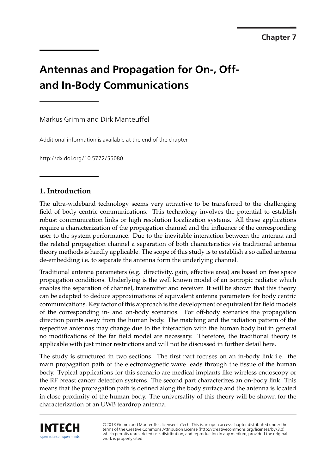**Chapter 8 Chapter 7**

# **Antennas and Propagation for On-, Offand In-Body Communications**

Markus Grimm and Dirk Manteuffel

Additional information is available at the end of the chapter

http://dx.doi.org/10.5772/55080

# **1. Introduction**

The ultra-wideband technology seems very attractive to be transferred to the challenging field of body centric communications. This technology involves the potential to establish robust communication links or high resolution localization systems. All these applications require a characterization of the propagation channel and the influence of the corresponding user to the system performance. Due to the inevitable interaction between the antenna and the related propagation channel a separation of both characteristics via traditional antenna theory methods is hardly applicable. The scope of this study is to establish a so called antenna de-embedding i.e. to separate the antenna form the underlying channel.

Traditional antenna parameters (e.g. directivity, gain, effective area) are based on free space propagation conditions. Underlying is the well known model of an isotropic radiator which enables the separation of channel, transmitter and receiver. It will be shown that this theory can be adapted to deduce approximations of equivalent antenna parameters for body centric communications. Key factor of this approach is the development of equivalent far field models of the corresponding in- and on-body scenarios. For off-body scenarios the propagation direction points away from the human body. The matching and the radiation pattern of the respective antennas may change due to the interaction with the human body but in general no modifications of the far field model are necessary. Therefore, the traditional theory is applicable with just minor restrictions and will not be discussed in further detail here.

The study is structured in two sections. The first part focuses on an in-body link i.e. the main propagation path of the electromagnetic wave leads through the tissue of the human body. Typical applications for this scenario are medical implants like wireless endoscopy or the RF breast cancer detection systems. The second part characterizes an on-body link. This means that the propagation path is defined along the body surface and the antenna is located in close proximity of the human body. The universality of this theory will be shown for the characterization of an UWB teardrop antenna.



©2013 Grimm and Manteuffel, licensee InTech. This is an open access chapter distributed under the terms of the Creative Commons Attribution License (http://creativecommons.org/licenses/by/3.0), which permits unrestricted use, distribution, and reproduction in any medium, provided the original work is properly cited.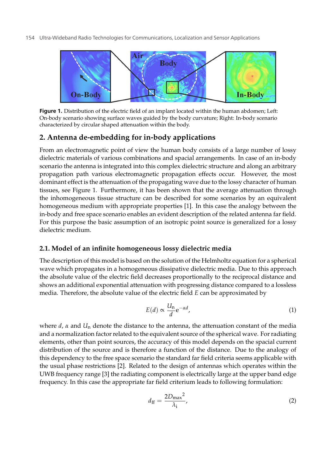

**Figure 1.** Distribution of the electric field of an implant located within the human abdomen; Left: On-body scenario showing surface waves guided by the body curvature; Right: In-body scenario characterized by circular shaped attenuation within the body.

# **2. Antenna de-embedding for in-body applications**

From an electromagnetic point of view the human body consists of a large number of lossy dielectric materials of various combinations and spacial arrangements. In case of an in-body scenario the antenna is integrated into this complex dielectric structure and along an arbitrary propagation path various electromagnetic propagation effects occur. However, the most dominant effect is the attenuation of the propagating wave due to the lossy character of human tissues, see Figure 1. Furthermore, it has been shown that the average attenuation through the inhomogeneous tissue structure can be described for some scenarios by an equivalent homogeneous medium with appropriate properties [1]. In this case the analogy between the in-body and free space scenario enables an evident description of the related antenna far field. For this purpose the basic assumption of an isotropic point source is generalized for a lossy dielectric medium.

# **2.1. Model of an infinite homogeneous lossy dielectric media**

The description of this model is based on the solution of the Helmholtz equation for a spherical wave which propagates in a homogeneous dissipative dielectric media. Due to this approach the absolute value of the electric field decreases proportionally to the reciprocal distance and shows an additional exponential attenuation with progressing distance compared to a lossless media. Therefore, the absolute value of the electric field *E* can be approximated by

$$
E(d) \propto \frac{U_n}{d} e^{-\alpha d},\tag{1}
$$

where *d*, *α* and *U*n denote the distance to the antenna, the attenuation constant of the media and a normalization factor related to the equivalent source of the spherical wave. For radiating elements, other than point sources, the accuracy of this model depends on the spacial current distribution of the source and is therefore a function of the distance. Due to the analogy of this dependency to the free space scenario the standard far field criteria seems applicable with the usual phase restrictions [2]. Related to the design of antennas which operates within the UWB frequency range [3] the radiating component is electrically large at the upper band edge frequency. In this case the appropriate far field criterium leads to following formulation:

$$
d_{\rm ff} = \frac{2D_{\rm max}^2}{\lambda_{\rm i}},\tag{2}
$$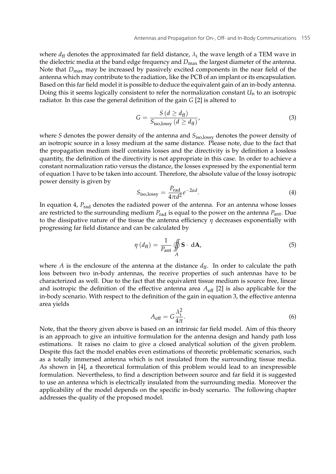where  $d_{\rm ff}$  denotes the approximated far field distance,  $\lambda_i$  the wave length of a TEM wave in the dielectric media at the band edge frequency and *D*max the largest diameter of the antenna. Note that  $D_{\text{max}}$  may be increased by passively excited components in the near field of the antenna which may contribute to the radiation, like the PCB of an implant or its encapsulation. Based on this far field model it is possible to deduce the equivalent gain of an in-body antenna. Doing this it seems logically consistent to refer the normalization constant  $U_n$  to an isotropic radiator. In this case the general definition of the gain *G* [2] is altered to

$$
G = \frac{S(d \ge d_{\rm ff})}{S_{\rm iso, lossy} (d \ge d_{\rm ff})'}
$$
\n(3)

where *S* denotes the power density of the antenna and  $S_{\text{iso,lossy}}$  denotes the power density of an isotropic source in a lossy medium at the same distance. Please note, due to the fact that the propagation medium itself contains losses and the directivity is by definition a lossless quantity, the definition of the directivity is not appropriate in this case. In order to achieve a constant normalization ratio versus the distance, the losses expressed by the exponential term of equation 1 have to be taken into account. Therefore, the absolute value of the lossy isotropic power density is given by

$$
S_{\text{iso,lossy}} = \frac{P_{\text{rad}}}{4\pi d^2} e^{-2\alpha d}.
$$
 (4)

In equation 4,  $P_{rad}$  denotes the radiated power of the antenna. For an antenna whose losses are restricted to the surrounding medium  $P_{rad}$  is equal to the power on the antenna  $P_{ant}$ . Due to the dissipative nature of the tissue the antenna efficiency *η* decreases exponentially with progressing far field distance and can be calculated by

$$
\eta\left(d_{\rm ff}\right) = \frac{1}{P_{\rm ant}} \oint\limits_A \mathbf{S} \cdot \, \mathrm{d}\mathbf{A},\tag{5}
$$

where *A* is the enclosure of the antenna at the distance  $d_{\text{ff}}$ . In order to calculate the path loss between two in-body antennas, the receive properties of such antennas have to be characterized as well. Due to the fact that the equivalent tissue medium is source free, linear and isotropic the definition of the effective antenna area  $A_{\text{eff}}$  [2] is also applicable for the in-body scenario. With respect to the definition of the gain in equation 3, the effective antenna area yields

$$
A_{\rm eff} = G \frac{\lambda_i^2}{4\pi}.
$$
\n(6)

Note, that the theory given above is based on an intrinsic far field model. Aim of this theory is an approach to give an intuitive formulation for the antenna design and handy path loss estimations. It raises no claim to give a closed analytical solution of the given problem. Despite this fact the model enables even estimations of theoretic problematic scenarios, such as a totally immersed antenna which is not insulated from the surrounding tissue media. As shown in [4], a theoretical formulation of this problem would lead to an inexpressible formulation. Nevertheless, to find a description between source and far field it is suggested to use an antenna which is electrically insulated from the surrounding media. Moreover the applicability of the model depends on the specific in-body scenario. The following chapter addresses the quality of the proposed model.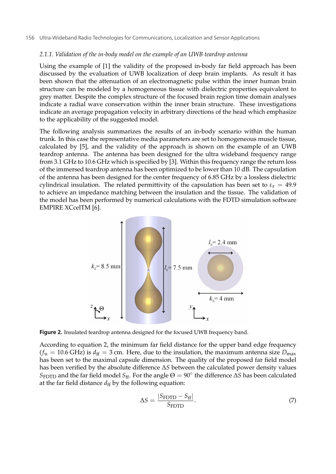## *2.1.1. Validation of the in-body model on the example of an UWB teardrop antenna*

Using the example of [1] the validity of the proposed in-body far field approach has been discussed by the evaluation of UWB localization of deep brain implants. As result it has been shown that the attenuation of an electromagnetic pulse within the inner human brain structure can be modeled by a homogeneous tissue with dielectric properties equivalent to grey matter. Despite the complex structure of the focused brain region time domain analyses indicate a radial wave conservation within the inner brain structure. These investigations indicate an average propagation velocity in arbitrary directions of the head which emphasize to the applicability of the suggested model.

The following analysis summarizes the results of an in-body scenario within the human trunk. In this case the representative media parameters are set to homogeneous muscle tissue, calculated by [5], and the validity of the approach is shown on the example of an UWB teardrop antenna. The antenna has been designed for the ultra wideband frequency range from 3.1 GHz to 10.6 GHz which is specified by [3]. Within this frequency range the return loss of the immersed teardrop antenna has been optimized to be lower than 10 dB. The capsulation of the antenna has been designed for the center frequency of 6.85 GHz by a lossless dielectric cylindrical insulation. The related permittivity of the capsulation has been set to  $\varepsilon_r = 49.9$ to achieve an impedance matching between the insulation and the tissue. The validation of the model has been performed by numerical calculations with the FDTD simulation software EMPIRE XCcelTM [6].



**Figure 2.** Insulated teardrop antenna designed for the focused UWB frequency band.

According to equation 2, the minimum far field distance for the upper band edge frequency  $(f_u = 10.6 \text{ GHz})$  is  $d_{\text{ff}} = 3 \text{ cm}$ . Here, due to the insulation, the maximum antenna size  $D_{\text{max}}$ has been set to the maximal capsule dimension. The quality of the proposed far field model has been verified by the absolute difference Δ*S* between the calculated power density values *S*<sub>FDTD</sub> and the far field model *S*<sub>ff</sub>. For the angle  $\Theta = 90^\circ$  the difference  $\Delta S$  has been calculated at the far field distance  $d_{\rm ff}$  by the following equation:

$$
\Delta S = \frac{|S_{\text{FDTD}} - S_{\text{ff}}|}{S_{\text{FDTD}}}.\tag{7}
$$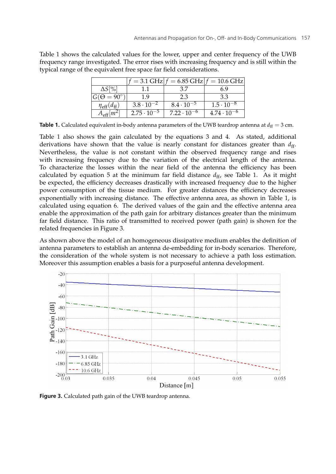|                              |                      | $=$ 3.1 GHz $ f = 6.85$ GHz $ f = 10.6$ GHz |                      |
|------------------------------|----------------------|---------------------------------------------|----------------------|
| $\Delta S[\%]$               |                      | 37                                          | 6 9                  |
| $G(\Theta = 90^{\circ})$     | 19                   | 2.3                                         | 33                   |
| $\eta_{\rm eff}(d_{\rm ff})$ | $3.8 \cdot 10^{-2}$  | $8.4 \cdot 10^{-5}$                         | $1.5 \cdot 10^{-8}$  |
|                              | $2.75 \cdot 10^{-5}$ | $7.22 \cdot 10^{-6}$                        | $4.74 \cdot 10^{-6}$ |

Table 1 shows the calculated values for the lower, upper and center frequency of the UWB frequency range investigated. The error rises with increasing frequency and is still within the typical range of the equivalent free space far field considerations.

**Table 1.** Calculated equivalent in-body antenna parameters of the UWB teardrop antenna at  $d_f = 3$  cm.

Table 1 also shows the gain calculated by the equations 3 and 4. As stated, additional derivations have shown that the value is nearly constant for distances greater than  $d_{\text{ff}}$ . Nevertheless, the value is not constant within the observed frequency range and rises with increasing frequency due to the variation of the electrical length of the antenna. To characterize the losses within the near field of the antenna the efficiency has been calculated by equation 5 at the minimum far field distance  $d_{ff}$ , see Table 1. As it might be expected, the efficiency decreases drastically with increased frequency due to the higher power consumption of the tissue medium. For greater distances the efficiency decreases exponentially with increasing distance. The effective antenna area, as shown in Table 1, is calculated using equation 6. The derived values of the gain and the effective antenna area enable the approximation of the path gain for arbitrary distances greater than the minimum far field distance. This ratio of transmitted to received power (path gain) is shown for the related frequencies in Figure 3.

As shown above the model of an homogeneous dissipative medium enables the definition of antenna parameters to establish an antenna de-embedding for in-body scenarios. Therefore, the consideration of the whole system is not necessary to achieve a path loss estimation. Moreover this assumption enables a basis for a purposeful antenna development.



**Figure 3.** Calculated path gain of the UWB teardrop antenna.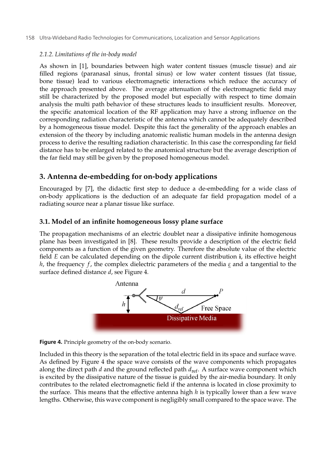## *2.1.2. Limitations of the in-body model*

As shown in [1], boundaries between high water content tissues (muscle tissue) and air filled regions (paranasal sinus, frontal sinus) or low water content tissues (fat tissue, bone tissue) lead to various electromagnetic interactions which reduce the accuracy of the approach presented above. The average attenuation of the electromagnetic field may still be characterized by the proposed model but especially with respect to time domain analysis the multi path behavior of these structures leads to insufficient results. Moreover, the specific anatomical location of the RF application may have a strong influence on the corresponding radiation characteristic of the antenna which cannot be adequately described by a homogeneous tissue model. Despite this fact the generality of the approach enables an extension of the theory by including anatomic realistic human models in the antenna design process to derive the resulting radiation characteristic. In this case the corresponding far field distance has to be enlarged related to the anatomical structure but the average description of the far field may still be given by the proposed homogeneous model.

# **3. Antenna de-embedding for on-body applications**

Encouraged by [7], the didactic first step to deduce a de-embedding for a wide class of on-body applications is the deduction of an adequate far field propagation model of a radiating source near a planar tissue like surface.

## **3.1. Model of an infinite homogeneous lossy plane surface**

The propagation mechanisms of an electric doublet near a dissipative infinite homogenous plane has been investigated in [8]. These results provide a description of the electric field components as a function of the given geometry. Therefore the absolute value of the electric field *E* can be calculated depending on the dipole current distribution **i**, its effective height *h*, the frequency *f* , the complex dielectric parameters of the media *ε* and a tangential to the surface defined distance *d*, see Figure 4.





Included in this theory is the separation of the total electric field in its space and surface wave. As defined by Figure 4 the space wave consists of the wave components which propagates along the direct path *d* and the ground reflected path  $d_{ref}$ . A surface wave component which is excited by the dissipative nature of the tissue is guided by the air-media boundary. It only contributes to the related electromagnetic field if the antenna is located in close proximity to the surface. This means that the effective antenna high *h* is typically lower than a few wave lengths. Otherwise, this wave component is negligibly small compared to the space wave. The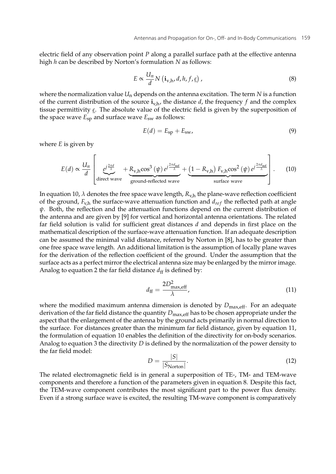electric field of any observation point *P* along a parallel surface path at the effective antenna high *h* can be described by Norton's formulation *N* as follows:

$$
E \propto \frac{U_n}{d} N \left( \mathbf{i}_{v,h}, d, h, f, \underline{\varepsilon} \right), \tag{8}
$$

where the normalization value  $U_n$  depends on the antenna excitation. The term  $N$  is a function of the current distribution of the source  $\mathbf{i}_{v,h}$ , the distance *d*, the frequency *f* and the complex tissue permittivity *ε*. The absolute value of the electric field is given by the superposition of the space wave *E*sp and surface wave *E*sw as follows:

$$
E(d) = E_{\rm sp} + E_{\rm sw},\tag{9}
$$

where *E* is given by

$$
E(d) \propto \frac{U_n}{d} \left[ \underbrace{e^{j\frac{2\pi d}{\lambda}}}_{\text{direct wave}} + \underbrace{R_{v,h} \cos^3(\psi) e^{j\frac{2\pi d_{\text{ref}}}{\lambda}}}_{\text{ground-reflected wave}} + \underbrace{(1 - R_{v,h}) F_{v,h} \cos^2(\psi) e^{j\frac{2\pi d_{\text{ref}}}{\lambda}}}_{\text{surface wave}} \right].
$$
 (10)

In equation 10,  $\lambda$  denotes the free space wave length,  $R_{v,h}$  the plane-wave reflection coefficient of the ground,  $F_{v,h}$  the surface-wave attenuation function and  $d_{ref}$  the reflected path at angle *ψ*. Both, the reflection and the attenuation functions depend on the current distribution of the antenna and are given by [9] for vertical and horizontal antenna orientations. The related far field solution is valid for sufficient great distances *d* and depends in first place on the mathematical description of the surface-wave attenuation function. If an adequate description can be assumed the minimal valid distance, referred by Norton in [8], has to be greater than one free space wave length. An additional limitation is the assumption of locally plane waves for the derivation of the reflection coefficient of the ground. Under the assumption that the surface acts as a perfect mirror the electrical antenna size may be enlarged by the mirror image. Analog to equation 2 the far field distance  $d_{\rm ff}$  is defined by:

$$
d_{\rm ff} = \frac{2D_{\rm max,eff}^2}{\lambda},\tag{11}
$$

where the modified maximum antenna dimension is denoted by  $D_{\text{max,eff}}$ . For an adequate derivation of the far field distance the quantity *D*max,eff has to be chosen appropriate under the aspect that the enlargement of the antenna by the ground acts primarily in normal direction to the surface. For distances greater than the minimum far field distance, given by equation 11, the formulation of equation 10 enables the definition of the directivity for on-body scenarios. Analog to equation 3 the directivity *D* is defined by the normalization of the power density to the far field model:

$$
D = \frac{|S|}{|S_{\text{North}}|}.\tag{12}
$$

The related electromagnetic field is in general a superposition of TE-, TM- and TEM-wave components and therefore a function of the parameters given in equation 8. Despite this fact, the TEM-wave component contributes the most significant part to the power flux density. Even if a strong surface wave is excited, the resulting TM-wave component is comparatively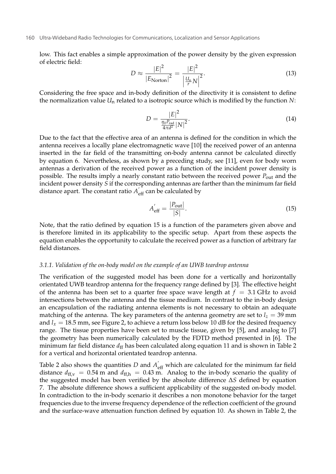low. This fact enables a simple approximation of the power density by the given expression of electric field:

$$
D \approx \frac{|E|^2}{|E_{\text{North}}|^2} = \frac{|E|^2}{\left|\frac{U_n}{r}N\right|^2}.\tag{13}
$$

Considering the free space and in-body definition of the directivity it is consistent to define the normalization value *U*n related to a isotropic source which is modified by the function *N*:

$$
D = \frac{|E|^2}{\frac{\eta_0 P_{\text{rad}}}{4\pi d^2} |N|^2}.
$$
\n(14)

Due to the fact that the effective area of an antenna is defined for the condition in which the antenna receives a locally plane electromagnetic wave [10] the received power of an antenna inserted in the far field of the transmitting on-body antenna cannot be calculated directly by equation 6. Nevertheless, as shown by a preceding study, see [11], even for body worn antennas a derivation of the received power as a function of the incident power density is possible. The results imply a nearly constant ratio between the received power *P*out and the incident power density *S* if the corresponding antennas are farther than the minimum far field distance apart. The constant ratio  $A_{\text{eff}}^{'}$  can be calculated by

$$
A'_{\text{eff}} = \frac{|P_{\text{out}}|}{|S|}.
$$
\n(15)

Note, that the ratio defined by equation 15 is a function of the parameters given above and is therefore limited in its applicability to the specific setup. Apart from these aspects the equation enables the opportunity to calculate the received power as a function of arbitrary far field distances.

#### *3.1.1. Validation of the on-body model on the example of an UWB teardrop antenna*

The verification of the suggested model has been done for a vertically and horizontally orientated UWB teardrop antenna for the frequency range defined by [3]. The effective height of the antenna has been set to a quarter free space wave length at  $f = 3.1$  GHz to avoid intersections between the antenna and the tissue medium. In contrast to the in-body design an encapsulation of the radiating antenna elements is not necessary to obtain an adequate matching of the antenna. The key parameters of the antenna geometry are set to  $l_z = 39$  mm and  $l_x = 18.5$  mm, see Figure 2, to achieve a return loss below 10 dB for the desired frequency range. The tissue properties have been set to muscle tissue, given by [5], and analog to [7] the geometry has been numerically calculated by the FDTD method presented in [6]. The minimum far field distance  $d_{\rm ff}$  has been calculated along equation 11 and is shown in Table 2 for a vertical and horizontal orientated teardrop antenna.

Table 2 also shows the quantities *D* and  $A'_{\text{eff}}$  which are calculated for the minimum far field distance  $d_{\text{ff,v}} = 0.54 \text{ m}$  and  $d_{\text{ff,h}} = 0.43 \text{ m}$ . Analog to the in-body scenario the quality of the suggested model has been verified by the absolute difference Δ*S* defined by equation 7. The absolute difference shows a sufficient applicability of the suggested on-body model. In contradiction to the in-body scenario it describes a non monotone behavior for the target frequencies due to the inverse frequency dependence of the reflection coefficient of the ground and the surface-wave attenuation function defined by equation 10. As shown in Table 2, the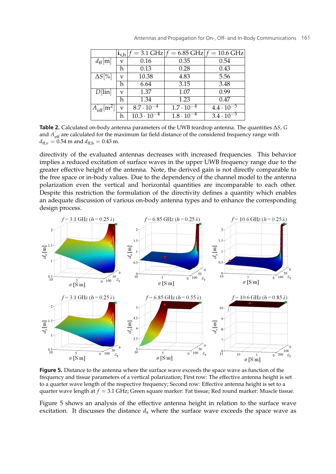|                                 | $\mathbf{i}_{v,h}$ $J$ |                      | $=$ 3.1 GHz $ f = 6.85$ GHz $ f = 10.6$ GHz |                     |
|---------------------------------|------------------------|----------------------|---------------------------------------------|---------------------|
| $d_{\rm ff}[m]$                 | v                      | 0.16                 | 0.35                                        | 0.54                |
|                                 | h                      | 0.13                 | 0.28                                        | 0.43                |
| $\Delta S[\%]$                  | v                      | 10.38                | 4.83                                        | 5.56                |
|                                 | h                      | 6.64                 | 3.15                                        | 3.48                |
| $D$ [lin]                       | v                      | 1.37                 | 1.07                                        | 0.99                |
|                                 | h                      | 1.34                 | 1.23                                        | 0.47                |
| $A_{\rm eff}$ [m <sup>2</sup> ] | V                      | $8.7 \cdot 10^{-4}$  | $1.7 \cdot 10^{-4}$                         | $4.4 \cdot 10^{-5}$ |
|                                 | h                      | $10.3 \cdot 10^{-4}$ | $1.8 \cdot 10^{-4}$                         | $3.4 \cdot 10^{-5}$ |

**Table 2.** Calculated on-body antenna parameters of the UWB teardrop antenna. The quantities Δ*S*, *G* and  $A'_{\text{eff}}$  are calculated for the maximum far field distance of the considered frequency range with  $d_{\text{ff,v}} = 0.54 \text{ m}$  and  $d_{\text{ff,h}} = 0.43 \text{ m}$ .

directivity of the evaluated antennas decreases with increased frequencies. This behavior implies a reduced excitation of surface waves in the upper UWB frequency range due to the greater effective height of the antenna. Note, the derived gain is not directly comparable to the free space or in-body values. Due to the dependency of the channel model to the antenna polarization even the vertical and horizontal quantities are incomparable to each other. Despite this restriction the formulation of the directivity defines a quantity which enables an adequate discussion of various on-body antenna types and to enhance the corresponding design process.



**Figure 5.** Distance to the antenna where the surface wave exceeds the space wave as function of the frequency and tissue parameters of a vertical polarization; First row: The effective antenna height is set to a quarter wave length of the respective frequency; Second row: Effective antenna height is set to a quarter wave length at *f* = 3.1 GHz; Green square marker: Fat tissue; Red round marker: Muscle tissue.

Figure 5 shows an analysis of the effective antenna height in relation to the surface wave excitation. It discusses the distance  $d<sub>s</sub>$  where the surface wave exceeds the space wave as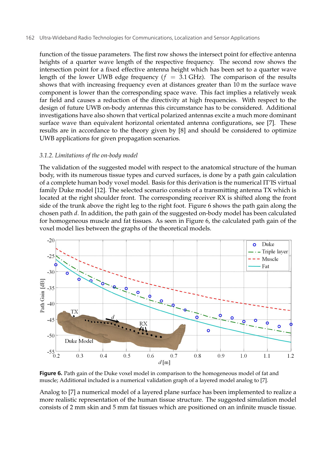function of the tissue parameters. The first row shows the intersect point for effective antenna heights of a quarter wave length of the respective frequency. The second row shows the intersection point for a fixed effective antenna height which has been set to a quarter wave length of the lower UWB edge frequency  $(f = 3.1 \text{ GHz})$ . The comparison of the results shows that with increasing frequency even at distances greater than 10 m the surface wave component is lower than the corresponding space wave. This fact implies a relatively weak far field and causes a reduction of the directivity at high frequencies. With respect to the design of future UWB on-body antennas this circumstance has to be considered. Additional investigations have also shown that vertical polarized antennas excite a much more dominant surface wave than equivalent horizontal orientated antenna configurations, see [7]. These results are in accordance to the theory given by [8] and should be considered to optimize UWB applications for given propagation scenarios.

## *3.1.2. Limitations of the on-body model*

The validation of the suggested model with respect to the anatomical structure of the human body, with its numerous tissue types and curved surfaces, is done by a path gain calculation of a complete human body voxel model. Basis for this derivation is the numerical IT'IS virtual family Duke model [12]. The selected scenario consists of a transmitting antenna TX which is located at the right shoulder front. The corresponding receiver RX is shifted along the front side of the trunk above the right leg to the right foot. Figure 6 shows the path gain along the chosen path *d*. In addition, the path gain of the suggested on-body model has been calculated for homogeneous muscle and fat tissues. As seen in Figure 6, the calculated path gain of the voxel model lies between the graphs of the theoretical models.



**Figure 6.** Path gain of the Duke voxel model in comparison to the homogeneous model of fat and muscle; Additional included is a numerical validation graph of a layered model analog to [7].

Analog to [7] a numerical model of a layered plane surface has been implemented to realize a more realistic representation of the human tissue structure. The suggested simulation model consists of 2 mm skin and 5 mm fat tissues which are positioned on an infinite muscle tissue.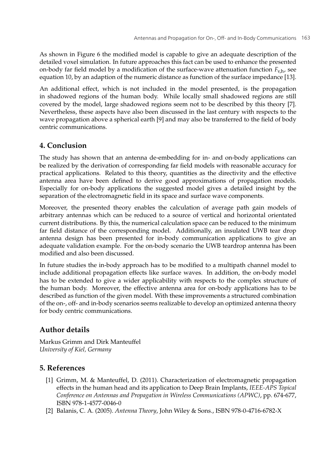As shown in Figure 6 the modified model is capable to give an adequate description of the detailed voxel simulation. In future approaches this fact can be used to enhance the presented on-body far field model by a modification of the surface-wave attenuation function  $F_{v}$ <sub>h</sub>, see equation 10, by an adaption of the numeric distance as function of the surface impedance [13].

An additional effect, which is not included in the model presented, is the propagation in shadowed regions of the human body. While locally small shadowed regions are still covered by the model, large shadowed regions seem not to be described by this theory [7]. Nevertheless, these aspects have also been discussed in the last century with respects to the wave propagation above a spherical earth [9] and may also be transferred to the field of body centric communications.

## **4. Conclusion**

The study has shown that an antenna de-embedding for in- and on-body applications can be realized by the derivation of corresponding far field models with reasonable accuracy for practical applications. Related to this theory, quantities as the directivity and the effective antenna area have been defined to derive good approximations of propagation models. Especially for on-body applications the suggested model gives a detailed insight by the separation of the electromagnetic field in its space and surface wave components.

Moreover, the presented theory enables the calculation of average path gain models of arbitrary antennas which can be reduced to a source of vertical and horizontal orientated current distributions. By this, the numerical calculation space can be reduced to the minimum far field distance of the corresponding model. Additionally, an insulated UWB tear drop antenna design has been presented for in-body communication applications to give an adequate validation example. For the on-body scenario the UWB teardrop antenna has been modified and also been discussed.

In future studies the in-body approach has to be modified to a multipath channel model to include additional propagation effects like surface waves. In addition, the on-body model has to be extended to give a wider applicability with respects to the complex structure of the human body. Moreover, the effective antenna area for on-body applications has to be described as function of the given model. With these improvements a structured combination of the on-, off- and in-body scenarios seems realizable to develop an optimized antenna theory for body centric communications.

# **Author details**

Markus Grimm and Dirk Manteuffel *University of Kiel, Germany*

# **5. References**

- [1] Grimm, M. & Manteuffel, D. (2011). Characterization of electromagnetic propagation effects in the human head and its application to Deep Brain Implants, *IEEE-APS Topical Conference on Antennas and Propagation in Wireless Communications (APWC)*, pp. 674-677, ISBN 978-1-4577-0046-0
- [2] Balanis, C. A. (2005). *Antenna Theory*, John Wiley & Sons., ISBN 978-0-4716-6782-X